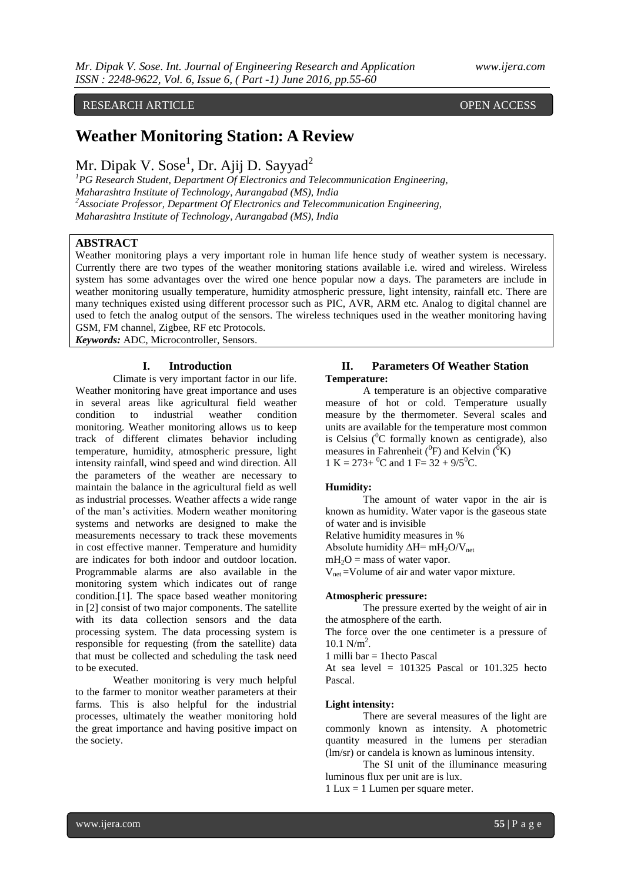# RESEARCH ARTICLE **CONSERVERS** OPEN ACCESS

# **Weather Monitoring Station: A Review**

# Mr. Dipak V. Sose<sup>1</sup>, Dr. Ajij D. Sayyad<sup>2</sup>

*<sup>1</sup>PG Research Student, Department Of Electronics and Telecommunication Engineering, Maharashtra Institute of Technology, Aurangabad (MS), India <sup>2</sup>Associate Professor, Department Of Electronics and Telecommunication Engineering, Maharashtra Institute of Technology, Aurangabad (MS), India*

# **ABSTRACT**

Weather monitoring plays a very important role in human life hence study of weather system is necessary. Currently there are two types of the weather monitoring stations available i.e. wired and wireless. Wireless system has some advantages over the wired one hence popular now a days. The parameters are include in weather monitoring usually temperature, humidity atmospheric pressure, light intensity, rainfall etc. There are many techniques existed using different processor such as PIC, AVR, ARM etc. Analog to digital channel are used to fetch the analog output of the sensors. The wireless techniques used in the weather monitoring having GSM, FM channel, Zigbee, RF etc Protocols.

*Keywords:* ADC, Microcontroller, Sensors.

## **I. Introduction**

Climate is very important factor in our life. Weather monitoring have great importance and uses in several areas like agricultural field weather condition to industrial weather condition monitoring. Weather monitoring allows us to keep track of different climates behavior including temperature, humidity, atmospheric pressure, light intensity rainfall, wind speed and wind direction. All the parameters of the weather are necessary to maintain the balance in the agricultural field as well as industrial processes. Weather affects a wide range of the man's activities. Modern weather monitoring systems and networks are designed to make the measurements necessary to track these movements in cost effective manner. Temperature and humidity are indicates for both indoor and outdoor location. Programmable alarms are also available in the monitoring system which indicates out of range condition.[1]. The space based weather monitoring in [2] consist of two major components. The satellite with its data collection sensors and the data processing system. The data processing system is responsible for requesting (from the satellite) data that must be collected and scheduling the task need to be executed.

Weather monitoring is very much helpful to the farmer to monitor weather parameters at their farms. This is also helpful for the industrial processes, ultimately the weather monitoring hold the great importance and having positive impact on the society.

## **II. Parameters Of Weather Station Temperature:**

A temperature is an objective comparative measure of hot or cold. Temperature usually measure by the thermometer. Several scales and units are available for the temperature most common is Celsius  $\binom{0}{C}$  formally known as centigrade), also measures in Fahrenheit ( $^{0}$ F) and Kelvin ( $^{0}$ K) 1 K =  $273+{}^{0}C$  and 1 F =  $32 + 9/5{}^{0}C$ .

#### **Humidity:**

The amount of water vapor in the air is known as humidity. Water vapor is the gaseous state of water and is invisible

Relative humidity measures in %

Absolute humidity  $\Delta H = mH_2O/V_{net}$ 

 $mH_2O =$  mass of water vapor.

 $V_{net}$  =Volume of air and water vapor mixture.

#### **Atmospheric pressure:**

The pressure exerted by the weight of air in the atmosphere of the earth.

The force over the one centimeter is a pressure of  $10.1 \text{ N/m}^2$ .

1 milli bar  $=$  1 hecto Pascal

At sea level  $= 101325$  Pascal or 101.325 hecto Pascal.

## **Light intensity:**

There are several measures of the light are commonly known as intensity. A photometric quantity measured in the lumens per steradian (lm/sr) or candela is known as luminous intensity.

The SI unit of the illuminance measuring luminous flux per unit are is lux.

1 Lux = 1 Lumen per square meter.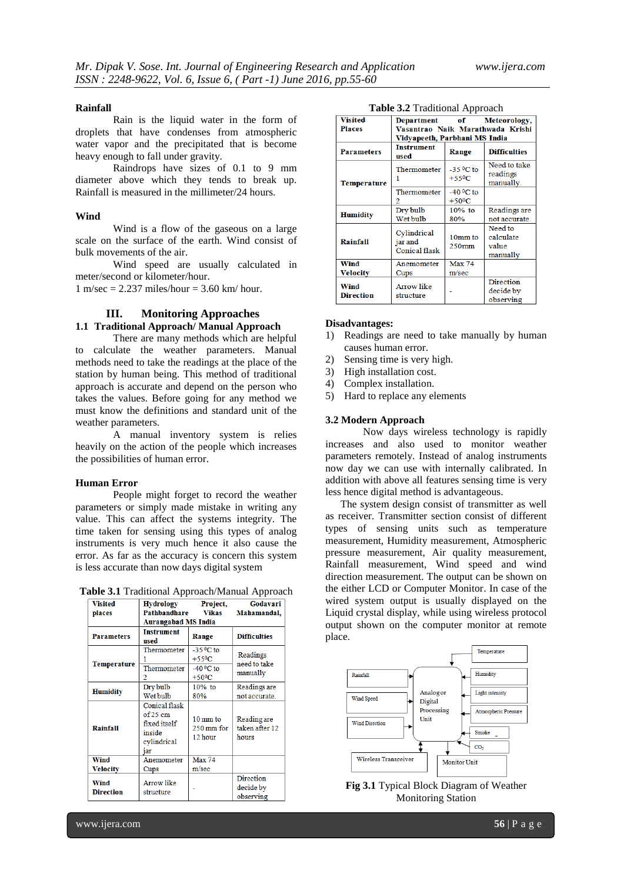#### **Rainfall**

Rain is the liquid water in the form of droplets that have condenses from atmospheric water vapor and the precipitated that is become heavy enough to fall under gravity.

Raindrops have sizes of 0.1 to 9 mm diameter above which they tends to break up. Rainfall is measured in the millimeter/24 hours.

#### **Wind**

Wind is a flow of the gaseous on a large scale on the surface of the earth. Wind consist of bulk movements of the air.

Wind speed are usually calculated in meter/second or kilometer/hour.

 $1 \text{ m/sec} = 2.237 \text{ miles/hour} = 3.60 \text{ km/hour}.$ 

# **III. Monitoring Approaches**

# **1.1 Traditional Approach/ Manual Approach**

There are many methods which are helpful to calculate the weather parameters. Manual methods need to take the readings at the place of the station by human being. This method of traditional approach is accurate and depend on the person who takes the values. Before going for any method we must know the definitions and standard unit of the weather parameters.

A manual inventory system is relies heavily on the action of the people which increases the possibilities of human error.

#### **Human Error**

People might forget to record the weather parameters or simply made mistake in writing any value. This can affect the systems integrity. The time taken for sensing using this types of analog instruments is very much hence it also cause the error. As far as the accuracy is concern this system is less accurate than now days digital system

**Table 3.1** Traditional Approach/Manual Approach

| <b>Visited</b><br>places        | Hydrology<br><b>Pathbandhare</b><br><b>Aurangabad MS India</b>                     | Project,<br><b>Vikas</b>                                                                 | Godavari<br>Mahamandal,                |
|---------------------------------|------------------------------------------------------------------------------------|------------------------------------------------------------------------------------------|----------------------------------------|
| <b>Parameters</b>               | <b>Instrument</b><br>used                                                          | Range                                                                                    | <b>Difficulties</b>                    |
| <b>Temperature</b>              | Thermometer<br>Thermometer<br>2                                                    | $-35$ <sup>o</sup> C to<br>$+55^{\circ}$ C<br>$-40$ <sup>o</sup> C to<br>$+50^{\circ}$ C | Readings<br>need to take<br>manually   |
| <b>Humidity</b>                 | Dry bulb<br>Wet bulb                                                               | 10% to<br>80%                                                                            | Readings are<br>not accurate.          |
| Rainfall                        | <b>Conical flask</b><br>$of 25$ cm<br>fixed itself<br>inside<br>cylindrical<br>iar | 10 mm to<br>$250 \,\mathrm{mm}$ for<br>12 hour                                           | Reading are<br>taken after 12<br>hours |
| Wind<br><b>Velocity</b>         | Anemometer<br>Cups                                                                 | <b>Max 74</b><br>m/sec                                                                   |                                        |
| <b>Wind</b><br><b>Direction</b> | <b>Arrow like</b><br>structure                                                     |                                                                                          | Direction<br>decide by<br>observing    |

| Table 3.2 Traditional Approach |  |  |
|--------------------------------|--|--|
|--------------------------------|--|--|

| $\epsilon = 1.00101010111$ |                                                |                                            |                                            |  |  |
|----------------------------|------------------------------------------------|--------------------------------------------|--------------------------------------------|--|--|
| <b>Visited</b>             |                                                |                                            | Department of Meteorology,                 |  |  |
| <b>Places</b>              | Vasantrao Naik Marathwada Krishi               |                                            |                                            |  |  |
|                            | Vidyapeeth, Parbhani MS India                  |                                            |                                            |  |  |
| <b>Parameters</b>          | <b>Instrument</b><br>used                      | Range                                      | <b>Difficulties</b>                        |  |  |
| Temperature                | Thermometer<br>1                               | $-35$ °C to<br>$+55^{\circ}$ C             | Need to take<br>readings<br>manually.      |  |  |
|                            | Thermometer                                    | $-40$ <sup>o</sup> C to<br>$+50^{\circ}$ C |                                            |  |  |
| <b>Humidity</b>            | Dry bulb<br>Wet bulb                           | 10% to<br>80%                              | Readings are<br>not accurate.              |  |  |
| Rainfall                   | Cylindrical<br>jar and<br><b>Conical flask</b> | 10mm to<br>$250$ mm                        | Need to<br>calculate<br>value<br>manually  |  |  |
| Wind<br>Velocity           | Anemometer<br>Cups                             | <b>Max 74</b><br>m/sec                     |                                            |  |  |
| Wind<br><b>Direction</b>   | <b>Arrow like</b><br>structure                 |                                            | <b>Direction</b><br>decide by<br>observing |  |  |

#### **Disadvantages:**

- 1) Readings are need to take manually by human causes human error.
- 2) Sensing time is very high.
- 3) High installation cost.
- 4) Complex installation.
- 5) Hard to replace any elements

#### **3.2 Modern Approach**

Now days wireless technology is rapidly increases and also used to monitor weather parameters remotely. Instead of analog instruments now day we can use with internally calibrated. In addition with above all features sensing time is very less hence digital method is advantageous.

The system design consist of transmitter as well as receiver. Transmitter section consist of different types of sensing units such as temperature measurement, Humidity measurement, Atmospheric pressure measurement, Air quality measurement, Rainfall measurement, Wind speed and wind direction measurement. The output can be shown on the either LCD or Computer Monitor. In case of the wired system output is usually displayed on the Liquid crystal display, while using wireless protocol output shown on the computer monitor at remote place.



**Fig 3.1** Typical Block Diagram of Weather Monitoring Station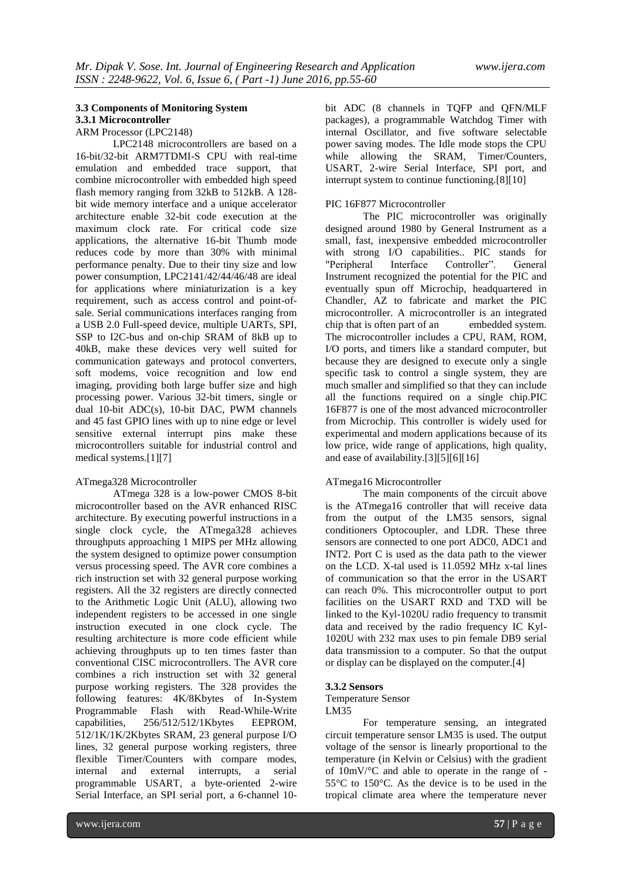## **3.3 Components of Monitoring System 3.3.1 Microcontroller** ARM Processor (LPC2148)

LPC2148 microcontrollers are based on a 16-bit/32-bit ARM7TDMI-S CPU with real-time emulation and embedded trace support, that combine microcontroller with embedded high speed flash memory ranging from 32kB to 512kB. A 128 bit wide memory interface and a unique accelerator architecture enable 32-bit code execution at the maximum clock rate. For critical code size applications, the alternative 16-bit Thumb mode reduces code by more than 30% with minimal performance penalty. Due to their tiny size and low power consumption, LPC2141/42/44/46/48 are ideal for applications where miniaturization is a key requirement, such as access control and point-ofsale. Serial communications interfaces ranging from a USB 2.0 Full-speed device, multiple UARTs, SPI, SSP to I2C-bus and on-chip SRAM of 8kB up to 40kB, make these devices very well suited for communication gateways and protocol converters, soft modems, voice recognition and low end imaging, providing both large buffer size and high processing power. Various 32-bit timers, single or dual 10-bit ADC(s), 10-bit DAC, PWM channels and 45 fast GPIO lines with up to nine edge or level sensitive external interrupt pins make these microcontrollers suitable for industrial control and medical systems.[1][7]

#### ATmega328 Microcontroller

ATmega 328 is a low-power CMOS 8-bit microcontroller based on the AVR enhanced RISC architecture. By executing powerful instructions in a single clock cycle, the ATmega328 achieves throughputs approaching 1 MIPS per MHz allowing the system designed to optimize power consumption versus processing speed. The AVR core combines a rich instruction set with 32 general purpose working registers. All the 32 registers are directly connected to the Arithmetic Logic Unit (ALU), allowing two independent registers to be accessed in one single instruction executed in one clock cycle. The resulting architecture is more code efficient while achieving throughputs up to ten times faster than conventional CISC microcontrollers. The AVR core combines a rich instruction set with 32 general purpose working registers. The 328 provides the following features: 4K/8Kbytes of In-System Programmable Flash with Read-While-Write capabilities, 256/512/512/1Kbytes EEPROM, 512/1K/1K/2Kbytes SRAM, 23 general purpose I/O lines, 32 general purpose working registers, three flexible Timer/Counters with compare modes, internal and external interrupts, a serial programmable USART, a byte-oriented 2-wire Serial Interface, an SPI serial port, a 6-channel 10bit ADC (8 channels in TQFP and QFN/MLF packages), a programmable Watchdog Timer with internal Oscillator, and five software selectable power saving modes. The Idle mode stops the CPU while allowing the SRAM, Timer/Counters, USART, 2-wire Serial Interface, SPI port, and interrupt system to continue functioning.[8][10]

# PIC 16F877 Microcontroller

The PIC microcontroller was originally designed around 1980 by General Instrument as a small, fast, inexpensive embedded microcontroller with strong I/O capabilities.. PIC stands for "Peripheral Interface Controller". General Instrument recognized the potential for the PIC and eventually spun off Microchip, headquartered in Chandler, AZ to fabricate and market the PIC microcontroller. A microcontroller is an integrated chip that is often part of an embedded system. The microcontroller includes a CPU, RAM, ROM, I/O ports, and timers like a standard computer, but because they are designed to execute only a single specific task to control a single system, they are much smaller and simplified so that they can include all the functions required on a single chip.PIC 16F877 is one of the most advanced microcontroller from Microchip. This controller is widely used for experimental and modern applications because of its low price, wide range of applications, high quality, and ease of availability.[3][5][6][16]

#### ATmega16 Microcontroller

The main components of the circuit above is the ATmega16 controller that will receive data from the output of the LM35 sensors, signal conditioners Optocoupler, and LDR. These three sensors are connected to one port ADC0, ADC1 and INT2. Port C is used as the data path to the viewer on the LCD. X-tal used is 11.0592 MHz x-tal lines of communication so that the error in the USART can reach 0%. This microcontroller output to port facilities on the USART RXD and TXD will be linked to the Kyl-1020U radio frequency to transmit data and received by the radio frequency IC Kyl-1020U with 232 max uses to pin female DB9 serial data transmission to a computer. So that the output or display can be displayed on the computer.[4]

#### **3.3.2 Sensors**

Temperature Sensor LM35

For temperature sensing, an integrated circuit temperature sensor LM35 is used. The output voltage of the sensor is linearly proportional to the temperature (in Kelvin or Celsius) with the gradient of 10mV/°C and able to operate in the range of - 55°C to 150°C. As the device is to be used in the tropical climate area where the temperature never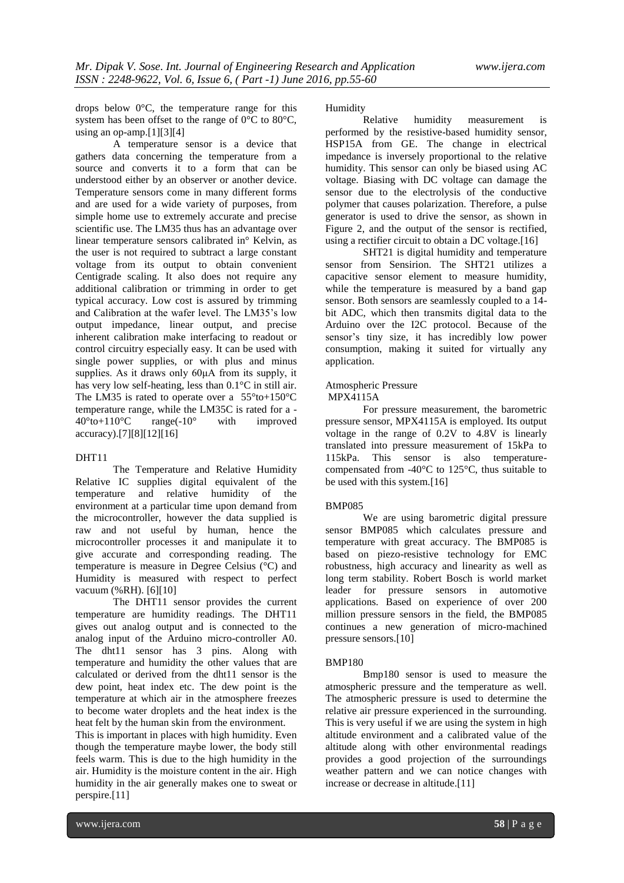drops below 0°C, the temperature range for this system has been offset to the range of 0°C to 80°C, using an op-amp.[1][3][4]

A temperature sensor is a device that gathers data concerning the temperature from a source and converts it to a form that can be understood either by an observer or another device. Temperature sensors come in many different forms and are used for a wide variety of purposes, from simple home use to extremely accurate and precise scientific use. The LM35 thus has an advantage over linear temperature sensors calibrated in° Kelvin, as the user is not required to subtract a large constant voltage from its output to obtain convenient Centigrade scaling. It also does not require any additional calibration or trimming in order to get typical accuracy. Low cost is assured by trimming and Calibration at the wafer level. The LM35's low output impedance, linear output, and precise inherent calibration make interfacing to readout or control circuitry especially easy. It can be used with single power supplies, or with plus and minus supplies. As it draws only 60μA from its supply, it has very low self-heating, less than 0.1°C in still air. The LM35 is rated to operate over a  $55^{\circ}$ to+150 $^{\circ}$ C temperature range, while the LM35C is rated for a -  $40^{\circ}$ to+110 $^{\circ}$ C range(-10 $^{\circ}$  with improved  $40^{\circ}$ to+110°C accuracy).[7][8][12][16]

#### DHT11

The Temperature and Relative Humidity Relative IC supplies digital equivalent of the temperature and relative humidity of the environment at a particular time upon demand from the microcontroller, however the data supplied is raw and not useful by human, hence the microcontroller processes it and manipulate it to give accurate and corresponding reading. The temperature is measure in Degree Celsius (°C) and Humidity is measured with respect to perfect vacuum (%RH). [6][10]

The DHT11 sensor provides the current temperature are humidity readings. The DHT11 gives out analog output and is connected to the analog input of the Arduino micro-controller A0. The dht11 sensor has 3 pins. Along with temperature and humidity the other values that are calculated or derived from the dht11 sensor is the dew point, heat index etc. The dew point is the temperature at which air in the atmosphere freezes to become water droplets and the heat index is the heat felt by the human skin from the environment.

This is important in places with high humidity. Even though the temperature maybe lower, the body still feels warm. This is due to the high humidity in the air. Humidity is the moisture content in the air. High humidity in the air generally makes one to sweat or perspire.[11]

Humidity

Relative humidity measurement is performed by the resistive-based humidity sensor, HSP15A from GE. The change in electrical impedance is inversely proportional to the relative humidity. This sensor can only be biased using AC voltage. Biasing with DC voltage can damage the sensor due to the electrolysis of the conductive polymer that causes polarization. Therefore, a pulse generator is used to drive the sensor, as shown in Figure 2, and the output of the sensor is rectified, using a rectifier circuit to obtain a DC voltage.[16]

SHT21 is digital humidity and temperature sensor from Sensirion. The SHT21 utilizes a capacitive sensor element to measure humidity, while the temperature is measured by a band gap sensor. Both sensors are seamlessly coupled to a 14 bit ADC, which then transmits digital data to the Arduino over the I2C protocol. Because of the sensor's tiny size, it has incredibly low power consumption, making it suited for virtually any application.

#### Atmospheric Pressure MPX4115A

For pressure measurement, the barometric pressure sensor, MPX4115A is employed. Its output voltage in the range of 0.2V to 4.8V is linearly translated into pressure measurement of 15kPa to 115kPa. This sensor is also temperaturecompensated from -40°C to 125°C, thus suitable to be used with this system.[16]

# BMP085

We are using barometric digital pressure sensor BMP085 which calculates pressure and temperature with great accuracy. The BMP085 is based on piezo-resistive technology for EMC robustness, high accuracy and linearity as well as long term stability. Robert Bosch is world market leader for pressure sensors in automotive applications. Based on experience of over 200 million pressure sensors in the field, the BMP085 continues a new generation of micro-machined pressure sensors.[10]

#### BMP180

Bmp180 sensor is used to measure the atmospheric pressure and the temperature as well. The atmospheric pressure is used to determine the relative air pressure experienced in the surrounding. This is very useful if we are using the system in high altitude environment and a calibrated value of the altitude along with other environmental readings provides a good projection of the surroundings weather pattern and we can notice changes with increase or decrease in altitude.[11]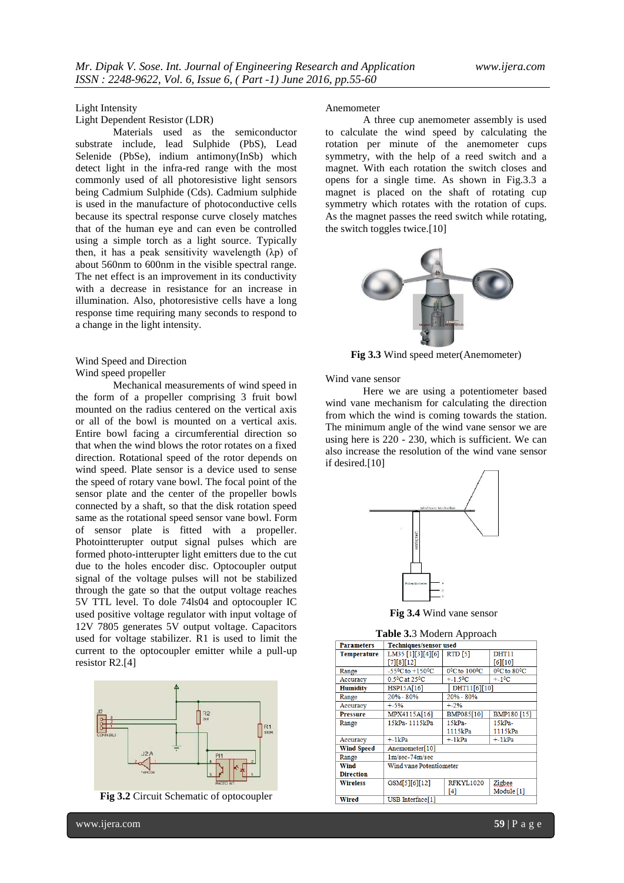# Light Intensity

Light Dependent Resistor (LDR)

Materials used as the semiconductor substrate include, lead Sulphide (PbS), Lead Selenide (PbSe), indium antimony(InSb) which detect light in the infra-red range with the most commonly used of all photoresistive light sensors being Cadmium Sulphide (Cds). Cadmium sulphide is used in the manufacture of photoconductive cells because its spectral response curve closely matches that of the human eye and can even be controlled using a simple torch as a light source. Typically then, it has a peak sensitivity wavelength  $(\lambda p)$  of about 560nm to 600nm in the visible spectral range. The net effect is an improvement in its conductivity with a decrease in resistance for an increase in illumination. Also, photoresistive cells have a long response time requiring many seconds to respond to a change in the light intensity.

## Wind Speed and Direction Wind speed propeller

Mechanical measurements of wind speed in the form of a propeller comprising 3 fruit bowl mounted on the radius centered on the vertical axis or all of the bowl is mounted on a vertical axis. Entire bowl facing a circumferential direction so that when the wind blows the rotor rotates on a fixed direction. Rotational speed of the rotor depends on wind speed. Plate sensor is a device used to sense the speed of rotary vane bowl. The focal point of the sensor plate and the center of the propeller bowls connected by a shaft, so that the disk rotation speed same as the rotational speed sensor vane bowl. Form of sensor plate is fitted with a propeller. Photointterupter output signal pulses which are formed photo-intterupter light emitters due to the cut due to the holes encoder disc. Optocoupler output signal of the voltage pulses will not be stabilized through the gate so that the output voltage reaches 5V TTL level. To dole 74ls04 and optocoupler IC used positive voltage regulator with input voltage of 12V 7805 generates 5V output voltage. Capacitors used for voltage stabilizer. R1 is used to limit the current to the optocoupler emitter while a pull-up resistor R2.[4]



**Fig 3.2** Circuit Schematic of optocoupler

#### Anemometer

A three cup anemometer assembly is used to calculate the wind speed by calculating the rotation per minute of the anemometer cups symmetry, with the help of a reed switch and a magnet. With each rotation the switch closes and opens for a single time. As shown in Fig.3.3 a magnet is placed on the shaft of rotating cup symmetry which rotates with the rotation of cups. As the magnet passes the reed switch while rotating, the switch toggles twice.[10]



**Fig 3.3** Wind speed meter(Anemometer)

Wind vane sensor

Here we are using a potentiometer based wind vane mechanism for calculating the direction from which the wind is coming towards the station. The minimum angle of the wind vane sensor we are using here is 220 - 230, which is sufficient. We can also increase the resolution of the wind vane sensor if desired.[10]



**Fig 3.4** Wind vane sensor

**Table 3.**3 Modern Approach

| <b>Parameters</b>  | <b>Techniques/sensor used</b>           |                                        |                     |  |
|--------------------|-----------------------------------------|----------------------------------------|---------------------|--|
| <b>Temperature</b> | LM35 [1][3][4][6]                       | <b>RTD</b> [5]                         | DHT <sub>11</sub>   |  |
|                    | [7][8][12]                              |                                        | [6][10]             |  |
| Range              | $-55^{\circ}$ C to $+150^{\circ}$ C     | 0 <sup>0</sup> C to 100 <sup>0</sup> C | $0^0$ C to $80^0$ C |  |
| Accuracy           | 0.5 <sup>o</sup> C at 25 <sup>o</sup> C | $+ -1.5$ <sup>o</sup> C                | $+ -10C$            |  |
| <b>Humidity</b>    | HSP15A[16]                              | DHT11[6][10]                           |                     |  |
| Range              | $20% - 80%$                             | $20% - 80%$                            |                     |  |
| Accuracy           | $+ -5%$                                 | $+.2%$                                 |                     |  |
| <b>Pressure</b>    | MPX4115A[16]                            | BMP085[10]                             | <b>BMP180 [15]</b>  |  |
| Range              | 15kPa-1115kPa                           | $15kPa-$                               | 15kPa-              |  |
|                    |                                         | 1115kPa                                | 1115kPa             |  |
| Accuracy           | $+ - 1kPa$                              | $+ - 1kPa$                             | $+ - 1kPa$          |  |
| <b>Wind Speed</b>  | Anemometer[10]                          |                                        |                     |  |
| Range              | $1 m/sec-74 m/sec$                      |                                        |                     |  |
| Wind               | Wind vane Potentiometer                 |                                        |                     |  |
| <b>Direction</b>   |                                         |                                        |                     |  |
| <b>Wireless</b>    | GSM[5][6][12]                           | <b>RFKYL1020</b>                       | Zigbee              |  |
|                    |                                         | [4]                                    | Module [1]          |  |
| Wired              | USB Interface[1]                        |                                        |                     |  |